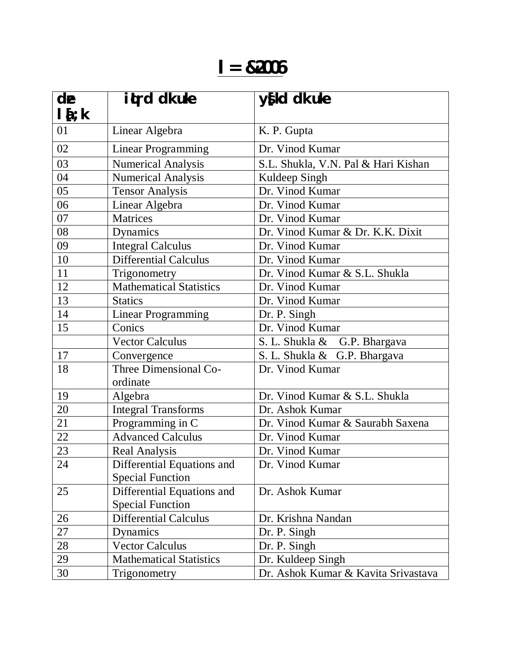## **l= &2006**

| de        | itrd dk uke                    | y{kd dk uke                         |
|-----------|--------------------------------|-------------------------------------|
| $l\{t:k}$ |                                |                                     |
| 01        | Linear Algebra                 | K. P. Gupta                         |
| 02        | <b>Linear Programming</b>      | Dr. Vinod Kumar                     |
| 03        | <b>Numerical Analysis</b>      | S.L. Shukla, V.N. Pal & Hari Kishan |
| 04        | <b>Numerical Analysis</b>      | Kuldeep Singh                       |
| 05        | <b>Tensor Analysis</b>         | Dr. Vinod Kumar                     |
| 06        | Linear Algebra                 | Dr. Vinod Kumar                     |
| 07        | <b>Matrices</b>                | Dr. Vinod Kumar                     |
| 08        | Dynamics                       | Dr. Vinod Kumar & Dr. K.K. Dixit    |
| 09        | <b>Integral Calculus</b>       | Dr. Vinod Kumar                     |
| 10        | <b>Differential Calculus</b>   | Dr. Vinod Kumar                     |
| 11        | Trigonometry                   | Dr. Vinod Kumar & S.L. Shukla       |
| 12        | <b>Mathematical Statistics</b> | Dr. Vinod Kumar                     |
| 13        | <b>Statics</b>                 | Dr. Vinod Kumar                     |
| 14        | <b>Linear Programming</b>      | Dr. P. Singh                        |
| 15        | Conics                         | Dr. Vinod Kumar                     |
|           | <b>Vector Calculus</b>         | S. L. Shukla & G.P. Bhargava        |
| 17        | Convergence                    | S. L. Shukla & G.P. Bhargava        |
| 18        | Three Dimensional Co-          | Dr. Vinod Kumar                     |
|           | ordinate                       |                                     |
| 19        | Algebra                        | Dr. Vinod Kumar & S.L. Shukla       |
| 20        | <b>Integral Transforms</b>     | Dr. Ashok Kumar                     |
| 21        | Programming in C               | Dr. Vinod Kumar & Saurabh Saxena    |
| 22        | <b>Advanced Calculus</b>       | Dr. Vinod Kumar                     |
| 23        | <b>Real Analysis</b>           | Dr. Vinod Kumar                     |
| 24        | Differential Equations and     | Dr. Vinod Kumar                     |
|           | <b>Special Function</b>        |                                     |
| 25        | Differential Equations and     | Dr. Ashok Kumar                     |
|           | <b>Special Function</b>        |                                     |
| 26        | <b>Differential Calculus</b>   | Dr. Krishna Nandan                  |
| 27        | Dynamics                       | Dr. P. Singh                        |
| 28        | <b>Vector Calculus</b>         | Dr. P. Singh                        |
| 29        | <b>Mathematical Statistics</b> | Dr. Kuldeep Singh                   |
| 30        | Trigonometry                   | Dr. Ashok Kumar & Kavita Srivastava |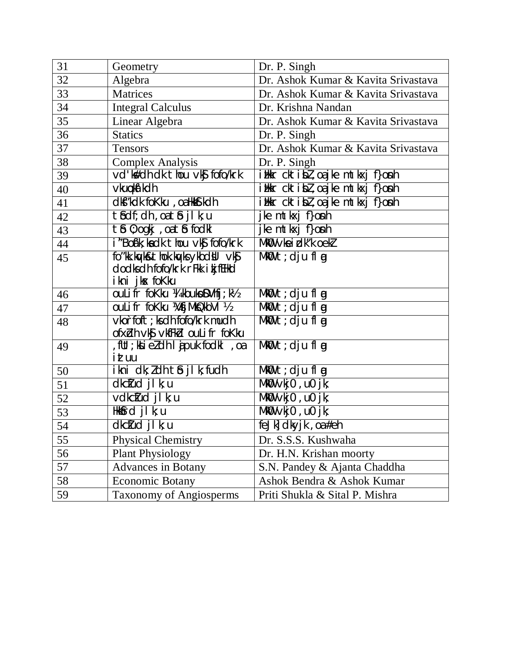| 31 | Geometry                                             | Dr. P. Singh                                |
|----|------------------------------------------------------|---------------------------------------------|
| 32 | Algebra                                              | Dr. Ashok Kumar & Kavita Srivastava         |
| 33 | <b>Matrices</b>                                      | Dr. Ashok Kumar & Kavita Srivastava         |
| 34 | <b>Integral Calculus</b>                             | Dr. Krishna Nandan                          |
| 35 | Linear Algebra                                       | Dr. Ashok Kumar & Kavita Srivastava         |
| 36 | <b>Statics</b>                                       | Dr. P. Singh                                |
| 37 | <b>Tensors</b>                                       | Dr. Ashok Kumar & Kavita Srivastava         |
| 38 | <b>Complex Analysis</b>                              | Dr. P. Singh                                |
| 39 | vd'k#dh dk thou vkj fofo/krk                         | ilkr cktibl, oajke mtkxj f}onh              |
| 40 | vkuoka' kdh                                          | ilkr cktibl, oajke mtkxj f}onh              |
| 41 | dkf"kdk foKku, oa Hktf.kdh                           | ilkr cktibl, oajke mtkxj f}onh              |
| 42 | tbdf; dh, oa tb jlk; u                               | jke mtkxj f}onh                             |
| 43 | tb 0; ogkj, oa tb fodkl                              | jke mtkxj f}o <b>n</b> h                    |
| 44 | i "Boá'k; ka dk thou vký fofo/krk                    | MKO vkeidk"koekl                            |
| 45 | fo"kk.kg/k&thok.kg/ksykbdbl vkg                      | $Mk$ <sup><math>t</math></sup> ; dju fl $q$ |
|    | dodks dh fofo/krk rFkk i kj fEHkd                    |                                             |
|    | ikni jkx foKku                                       |                                             |
| 46 | ouLifr foKku ¼ kbukoDVhfj; k½                        | $Mk$ <b>0</b> t; dju fl $q$                 |
| 47 | <b>OULI fr foKku WfjMkQkbVI 1/2</b>                  | $Mk$ <b>U</b> t; dju fl $q$                 |
| 48 | vkorfoft; ks dh fofo/krk mudh                        | $Mk$ 0 $t$ ; dju fl $q$                     |
|    | ofxidh vk\$ vkfFkid ouLifr foKku                     |                                             |
| 49 | , fUt ; kki eldh I jpuk fodkl, oa<br>ittuu           | $Mk$ <b>U</b> t; dju fl $q$                 |
| 50 | ikni dk; ldh tô jlk; fudh                            | $Mk\mathbf{0}$ t; dju fl $\mathbf{g}$       |
| 51 | dkclud jl k; u                                       | $Mk$ 0 vkj0, u0 jk;                         |
| 52 | vdkclud jl k; u                                      | $Mk$ 0 $\vee$ kj0 , u0 jk;                  |
| 53 | Hkbfrd jl k; u                                       | $Mk$ 0 $\vee$ kj0 , u0 jk;                  |
| 54 | dkclud jl k; u                                       | feJk] dkyjk, oa#eh                          |
| 55 | <b>Physical Chemistry</b>                            | Dr. S.S.S. Kushwaha                         |
| 56 |                                                      | Dr. H.N. Krishan moorty                     |
| 57 | <b>Plant Physiology</b><br><b>Advances in Botany</b> | S.N. Pandey & Ajanta Chaddha                |
| 58 |                                                      | Ashok Bendra & Ashok Kumar                  |
|    | <b>Economic Botany</b>                               |                                             |
| 59 | <b>Taxonomy of Angiosperms</b>                       | Priti Shukla & Sital P. Mishra              |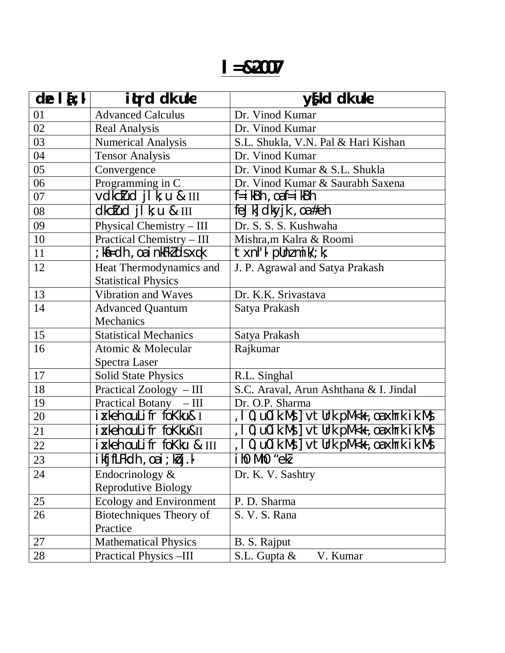## **l=&2007**

| $de$ $\mathbf{i}$ ; $\mathbf{k}$ | iturd dk uke                                          | y{kd dk uke                                                               |
|----------------------------------|-------------------------------------------------------|---------------------------------------------------------------------------|
| 01                               | <b>Advanced Calculus</b>                              | Dr. Vinod Kumar                                                           |
| 02                               | <b>Real Analysis</b>                                  | Dr. Vinod Kumar                                                           |
| 03                               | <b>Numerical Analysis</b>                             | S.L. Shukla, V.N. Pal & Hari Kishan                                       |
| 04                               | <b>Tensor Analysis</b>                                | Dr. Vinod Kumar                                                           |
| 05                               | Convergence                                           | Dr. Vinod Kumar & S.L. Shukla                                             |
| 06                               | Programming in C                                      | Dr. Vinod Kumar & Saurabh Saxena                                          |
| 07                               | vdkctud jlk; u & III                                  | $f = i$ kBh, oaf $=$ i kBh                                                |
| 08                               | $dkc$ <i>tud</i> $j$ $k$ ; $u$ & $III$                | feJk $dk$ yjk, oa#eh                                                      |
| 09                               | Physical Chemistry - III                              | Dr. S. S. S. Kushwaha                                                     |
| 10                               | Practical Chemistry - III                             | Mishra,m Kalra & Roomi                                                    |
| 11                               | ; kii=dh, oa i nkFklds xqk                            | $\text{txnh}'$ k pllnz mik $\mathcal{U}$ ; k;                             |
| 12                               | Heat Thermodynamics and<br><b>Statistical Physics</b> | J. P. Agrawal and Satya Prakash                                           |
| 13                               | Vibration and Waves                                   | Dr. K.K. Srivastava                                                       |
| 14                               | <b>Advanced Quantum</b><br>Mechanics                  | Satya Prakash                                                             |
| 15                               | <b>Statistical Mechanics</b>                          | Satya Prakash                                                             |
| 16                               | Atomic & Molecular                                    | Rajkumar                                                                  |
|                                  | Spectra Laser                                         |                                                                           |
| 17                               | <b>Solid State Physics</b>                            | R.L. Singhal                                                              |
| 18                               | Practical Zoology - III                               | S.C. Araval, Arun Ashthana & I. Jindal                                    |
| 19                               | Practical Botany - III                                | Dr. O.P. Sharma                                                           |
| 20                               | i xkeh ouLifr foKku& I                                | , $10$ , $u0$ ik. Mş $]$ $v$ t $u$ rk $p$ M $\lt$ k, $o$ a $x$ hrk ik. Ms |
| 21                               | i xkeh ouLifr foKku&II                                | , 10, u0ik.Ms ] vtUrk pM <k, ik.ms<="" oaxhrk="" td=""></k,>              |
| 22                               | ixkeh ouLifr foKku & III                              | , 10, u0ik.Ms ] vtUrk pM <k, ik.ms<="" oa="" td="" xhrk=""></k,>          |
| 23                               | ikfjfLFkdh, oai; kbj.k                                | iho Mho "ekl                                                              |
| 24                               | Endocrinology $&$                                     | Dr. K. V. Sashtry                                                         |
|                                  | <b>Reprodutive Biology</b>                            |                                                                           |
| 25                               | Ecology and Environment                               | P. D. Sharma                                                              |
| 26                               | Biotechniques Theory of<br>Practice                   | S. V. S. Rana                                                             |
| 27                               | <b>Mathematical Physics</b>                           | B. S. Rajput                                                              |
| 28                               | Practical Physics -III                                | S.L. Gupta &<br>V. Kumar                                                  |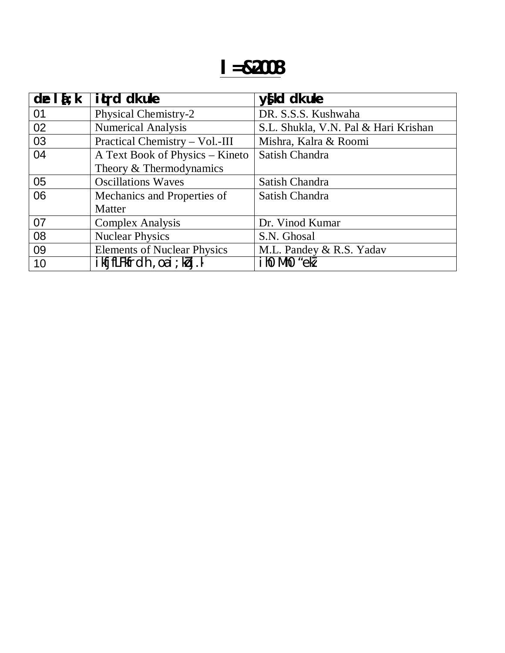| de $\mathbf{I}$ $\mathbf{\Sigma}$ : k | <b>it</b> rd dk uke                | $y$ fkd dk uke                       |
|---------------------------------------|------------------------------------|--------------------------------------|
| 01                                    | Physical Chemistry-2               | DR. S.S.S. Kushwaha                  |
| 02                                    | <b>Numerical Analysis</b>          | S.L. Shukla, V.N. Pal & Hari Krishan |
| 03                                    | Practical Chemistry - Vol.-III     | Mishra, Kalra & Roomi                |
| 04                                    | A Text Book of Physics – Kineto    | Satish Chandra                       |
|                                       | Theory & Thermodynamics            |                                      |
| 05                                    | <b>Oscillations Waves</b>          | Satish Chandra                       |
| 06                                    | Mechanics and Properties of        | Satish Chandra                       |
|                                       | Matter                             |                                      |
| 07                                    | <b>Complex Analysis</b>            | Dr. Vinod Kumar                      |
| 08                                    | <b>Nuclear Physics</b>             | S.N. Ghosal                          |
| 09                                    | <b>Elements of Nuclear Physics</b> | M.L. Pandey & R.S. Yadav             |
| 10                                    | ikfjfLFkfrdh, oa i ; kbj.k         | ihO MhO"ekZ                          |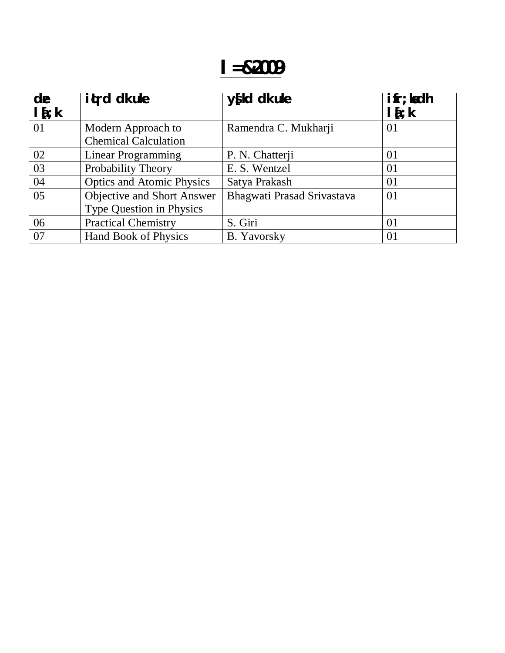## **l=&2009**

| de<br>$I_{i}$ | it rd dk uke                                                  | $y$ [kd dk uke             | $\mathbf{ifr}$ ; ladh<br>$l\{t;k$ |
|---------------|---------------------------------------------------------------|----------------------------|-----------------------------------|
| 01            | Modern Approach to<br><b>Chemical Calculation</b>             | Ramendra C. Mukharji       | 01                                |
| 02            | Linear Programming                                            | P. N. Chatterji            | 01                                |
| 03            | Probability Theory                                            | E. S. Wentzel              | 01                                |
| 04            | <b>Optics and Atomic Physics</b>                              | Satya Prakash              | 01                                |
| 05            | Objective and Short Answer<br><b>Type Question in Physics</b> | Bhagwati Prasad Srivastava | 01                                |
| 06            | <b>Practical Chemistry</b>                                    | S. Giri                    | 01                                |
| 07            | <b>Hand Book of Physics</b>                                   | <b>B.</b> Yavorsky         | 01                                |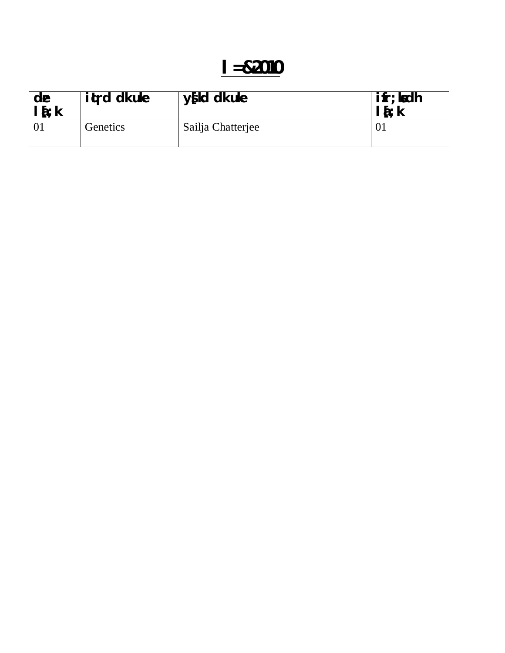| de<br>$l\bar{i}$ : k | <b>ited dk uke</b> | $y$ [kd dk uke    | <b>ifr; ladh</b><br>15:k |
|----------------------|--------------------|-------------------|--------------------------|
|                      | Genetics           | Sailja Chatterjee |                          |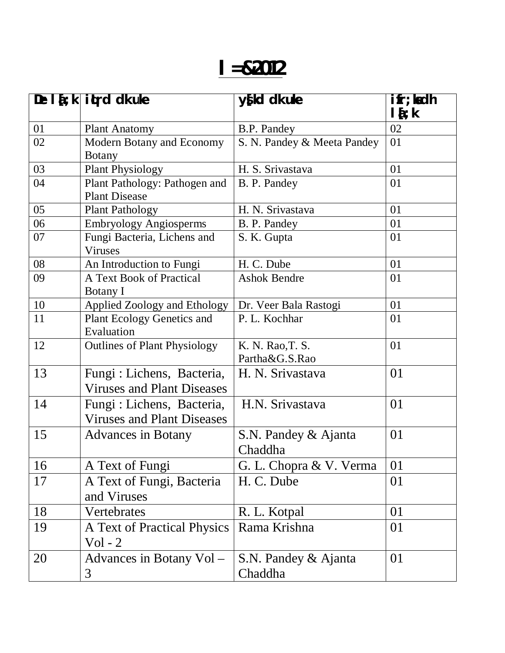# **l=&2012**

|    | De $\left  \frac{1}{2} \right $ it is dk uke                    | y{kd dk uke                        | $\mathbf{ifr}; \mathbf{hdh}$<br>$\mathbf{I}$ {; k |
|----|-----------------------------------------------------------------|------------------------------------|---------------------------------------------------|
| 01 | <b>Plant Anatomy</b>                                            | B.P. Pandey                        | 02                                                |
| 02 | Modern Botany and Economy<br><b>Botany</b>                      | S. N. Pandey & Meeta Pandey        | 01                                                |
| 03 | <b>Plant Physiology</b>                                         | H. S. Srivastava                   | 01                                                |
| 04 | Plant Pathology: Pathogen and<br><b>Plant Disease</b>           | B. P. Pandey                       | 01                                                |
| 05 | <b>Plant Pathology</b>                                          | H. N. Srivastava                   | 01                                                |
| 06 | <b>Embryology Angiosperms</b>                                   | B. P. Pandey                       | 01                                                |
| 07 | Fungi Bacteria, Lichens and<br><b>Viruses</b>                   | S. K. Gupta                        | 01                                                |
| 08 | An Introduction to Fungi                                        | H. C. Dube                         | 01                                                |
| 09 | A Text Book of Practical<br><b>Botany I</b>                     | <b>Ashok Bendre</b>                | 01                                                |
| 10 | Applied Zoology and Ethology                                    | Dr. Veer Bala Rastogi              | 01                                                |
| 11 | <b>Plant Ecology Genetics and</b><br>Evaluation                 | P. L. Kochhar                      | 01                                                |
| 12 | <b>Outlines of Plant Physiology</b>                             | K. N. Rao, T. S.<br>Partha&G.S.Rao | 01                                                |
| 13 | Fungi : Lichens, Bacteria,<br><b>Viruses and Plant Diseases</b> | H. N. Srivastava                   | 01                                                |
| 14 | Fungi : Lichens, Bacteria,<br><b>Viruses and Plant Diseases</b> | H.N. Srivastava                    | 01                                                |
| 15 | <b>Advances in Botany</b>                                       | S.N. Pandey & Ajanta<br>Chaddha    | 01                                                |
| 16 | A Text of Fungi                                                 | G. L. Chopra & V. Verma            | 01                                                |
| 17 | A Text of Fungi, Bacteria<br>and Viruses                        | H. C. Dube                         | 01                                                |
| 18 | Vertebrates                                                     | R. L. Kotpal                       | 01                                                |
| 19 | A Text of Practical Physics<br>$Vol - 2$                        | Rama Krishna                       | 01                                                |
| 20 | Advances in Botany Vol -<br>3                                   | S.N. Pandey & Ajanta<br>Chaddha    | 01                                                |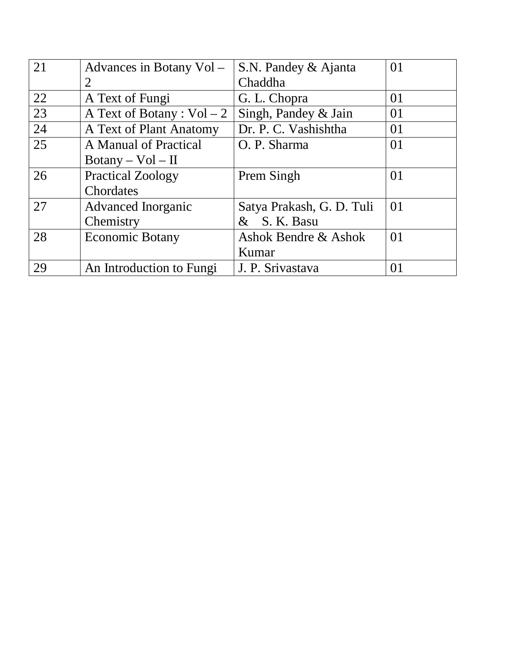| 21 | Advances in Botany Vol -     | S.N. Pandey & Ajanta      | 01 |
|----|------------------------------|---------------------------|----|
|    | 2                            | Chaddha                   |    |
| 22 | A Text of Fungi              | G. L. Chopra              | 01 |
| 23 | A Text of Botany : $Vol - 2$ | Singh, Pandey & Jain      | 01 |
| 24 | A Text of Plant Anatomy      | Dr. P. C. Vashishtha      | 01 |
| 25 | A Manual of Practical        | O. P. Sharma              | 01 |
|    | $Botany - Vol - II$          |                           |    |
| 26 | <b>Practical Zoology</b>     | Prem Singh                | 01 |
|    | Chordates                    |                           |    |
| 27 | <b>Advanced Inorganic</b>    | Satya Prakash, G. D. Tuli | 01 |
|    | Chemistry                    | & S. K. Basu              |    |
| 28 | <b>Economic Botany</b>       | Ashok Bendre & Ashok      | 01 |
|    |                              | Kumar                     |    |
| 29 | An Introduction to Fungi     | J. P. Srivastava          | 01 |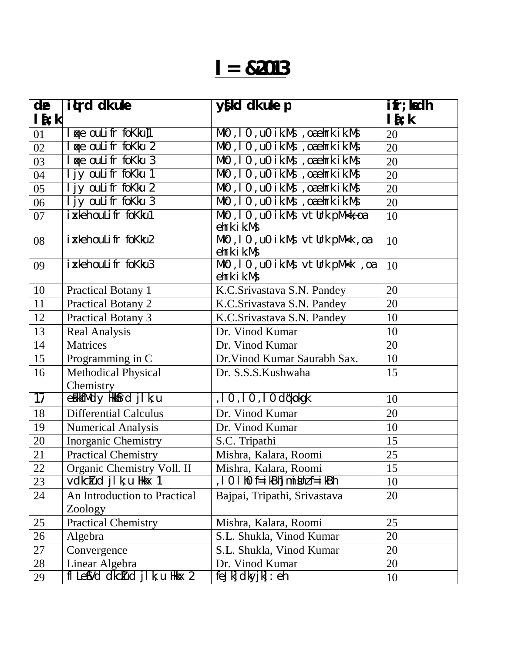# **l= &2013**

| de                 | it <sub>t</sub> rd dk uke        | y{kd dk uke p                                                                                      | $\mathbf{ifr}$ ; ladh |
|--------------------|----------------------------------|----------------------------------------------------------------------------------------------------|-----------------------|
| $\mathbf{I}$ {; k] |                                  |                                                                                                    | $l$ { $;$ k           |
| 01                 | <b>Ke oulifr fokku]1</b>         | MkO, IO, uO ik.Ms, oaehrkik.Ms                                                                     | 20                    |
| 02                 | <b>Ke oulifr fokku 2</b>         | $Mk0$ , $10$ , $10$ ik. Ms, oaehrk ik. Ms                                                          | 20                    |
| 03                 | I ge oulifr fokku 3              | MkO, IO, uO ik.Ms, oaehrkik.Ms                                                                     | 20                    |
| 04                 | I jy ouLifr foKku 1              | $Mk0$ , $10$ , $u0$ ik. Ms, oaehrk ik. Ms                                                          | 20                    |
| 05                 | I jy ouLifr foKku 2              | MkO, IO, uO ik.Ms, oaehrkik.Ms                                                                     | 20                    |
| 06                 | I jy ouLifr foKku 3              | $\overline{\text{MkO}}$ , 10 , $\overline{\text{UO}}$ ik. Ms , $\overline{\text{O}}$ a ehrk ik. Ms | 20                    |
| 07                 | ikkeh ouLifr foKku1              | MkO, 10, uO ik.Ms $vt$ Urk pM <k<math>\tilde{c}oa<br/>ehrk ik.Ms</k<math>                          | 10                    |
| 08                 | i xkeh ouLifr foKku2             | MkO, 10, uO ik.Ms vtUrk pM <k, oa<br="">ehrk ik.Ms</k,>                                            | 10                    |
| 09                 | i xkeh ouLifr foKku3             | MkO, 10, uO ik.Ms vtUrk pM <k, oa<br="">ehrk ik.Ms</k,>                                            | 10                    |
| 10                 | <b>Practical Botany 1</b>        | K.C.Srivastava S.N. Pandey                                                                         | 20                    |
| 11                 | <b>Practical Botany 2</b>        | K.C.Srivastava S.N. Pandey                                                                         | 20                    |
| 12                 | <b>Practical Botany 3</b>        | K.C.Srivastava S.N. Pandey                                                                         | 10                    |
| 13                 | <b>Real Analysis</b>             | Dr. Vinod Kumar                                                                                    | 10                    |
| 14                 | Matrices                         | Dr. Vinod Kumar                                                                                    | 20                    |
| 15                 | Programming in C                 | Dr. Vinod Kumar Saurabh Sax.                                                                       | 10                    |
| 16                 | <b>Methodical Physical</b>       | Dr. S.S.S.Kushwaha                                                                                 | 15                    |
|                    | Chemistry                        |                                                                                                    |                       |
| $\overline{17}$    | efiktMdy Hkkfrd jlk; u           | , 10, 10, 10 d¢kokgk                                                                               | 10                    |
| 18                 | Differential Calculus            | Dr. Vinod Kumar                                                                                    | 20                    |
| 19                 | <b>Numerical Analysis</b>        | Dr. Vinod Kumar                                                                                    | 10                    |
| 20                 | Inorganic Chemistry              | S.C. Tripathi                                                                                      | 15                    |
| 21                 | <b>Practical Chemistry</b>       | Mishra, Kalara, Roomi                                                                              | 25                    |
| 22                 | Organic Chemistry Voll. II       | Mishra, Kalara, Roomi                                                                              | 15                    |
| 23                 | vdkctud jl k; u Hkkx 1           | , I 0 I h0 f=ikBh]mi bhz f=ikBh                                                                    | 10                    |
| 24                 | An Introduction to Practical     | Bajpai, Tripathi, Srivastava                                                                       | 20                    |
|                    | Zoology                          |                                                                                                    |                       |
| 25                 | <b>Practical Chemistry</b>       | Mishra, Kalara, Roomi                                                                              | 25                    |
| 26                 | Algebra                          | S.L. Shukla, Vinod Kumar                                                                           | 20                    |
| 27                 | Convergence                      | S.L. Shukla, Vinod Kumar                                                                           | 20                    |
| 28                 | Linear Algebra                   | Dr. Vinod Kumar                                                                                    | 20                    |
| 29                 | fl Lef Vd dkctud j l k; u Hkkx 2 | $feJk$ dkyj $k$ : $eh$                                                                             | 10                    |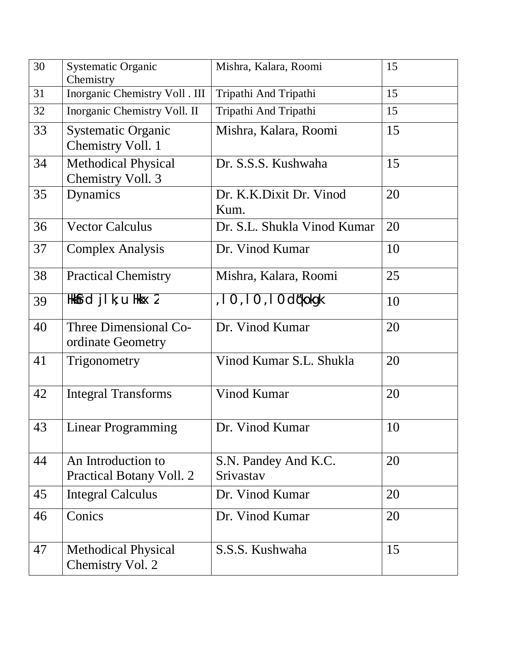| 30 | <b>Systematic Organic</b><br>Chemistry          | Mishra, Kalara, Roomi             | 15 |
|----|-------------------------------------------------|-----------------------------------|----|
| 31 | Inorganic Chemistry Voll . III                  | Tripathi And Tripathi             | 15 |
| 32 | Inorganic Chemistry Voll. II                    | Tripathi And Tripathi             | 15 |
| 33 | <b>Systematic Organic</b><br>Chemistry Voll. 1  | Mishra, Kalara, Roomi             | 15 |
| 34 | <b>Methodical Physical</b><br>Chemistry Voll. 3 | Dr. S.S.S. Kushwaha               | 15 |
| 35 | Dynamics                                        | Dr. K.K.Dixit Dr. Vinod<br>Kum.   | 20 |
| 36 | <b>Vector Calculus</b>                          | Dr. S.L. Shukla Vinod Kumar       | 20 |
| 37 | <b>Complex Analysis</b>                         | Dr. Vinod Kumar                   | 10 |
| 38 | <b>Practical Chemistry</b>                      | Mishra, Kalara, Roomi             | 25 |
| 39 | Hkkfrd jlk; u Hkkx 2                            | , 10, 10, 10 d¢kokgk              | 10 |
| 40 | Three Dimensional Co-<br>ordinate Geometry      | Dr. Vinod Kumar                   | 20 |
| 41 | Trigonometry                                    | Vinod Kumar S.L. Shukla           | 20 |
| 42 | <b>Integral Transforms</b>                      | Vinod Kumar                       | 20 |
| 43 | <b>Linear Programming</b>                       | Dr. Vinod Kumar                   | 10 |
| 44 | An Introduction to<br>Practical Botany Voll. 2  | S.N. Pandey And K.C.<br>Srivastav | 20 |
| 45 | <b>Integral Calculus</b>                        | Dr. Vinod Kumar                   | 20 |
| 46 | Conics                                          | Dr. Vinod Kumar                   | 20 |
| 47 | <b>Methodical Physical</b><br>Chemistry Vol. 2  | S.S.S. Kushwaha                   | 15 |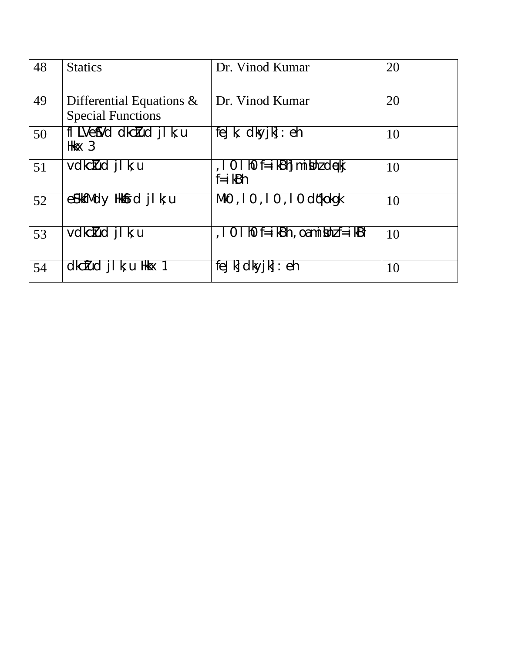| 48 | <b>Statics</b>                                          | Dr. Vinod Kumar                                        | 20 |
|----|---------------------------------------------------------|--------------------------------------------------------|----|
| 49 | Differential Equations $\&$<br><b>Special Functions</b> | Dr. Vinod Kumar                                        | 20 |
| 50 | fl LVeSVd dkcIud jl k; u<br>Hkk $x$ 3                   | $f e J k$ , $d k y j k$ : $e h$                        | 10 |
| 51 | vdkctud jl k; u                                         | , 10 l h0 f=ikBh mi Unz dekj<br>$f = i kBh$            | 10 |
| 52 | $\mathsf{g}$ EkkfMdy Hkk $\mathsf{f}$ rd jlk; u         | $Mk0$ , $10$ , $10$ , $10$ d¢kokqk                     | 10 |
| 53 | vdkctud jl k; u                                         | $\overline{10}$ I hO $f = i$ kBh, oami knz $f = i$ kBh | 10 |
| 54 | $dkcIud$ j k; u Hkkx 1                                  | feJk dkyjk : eh                                        | 10 |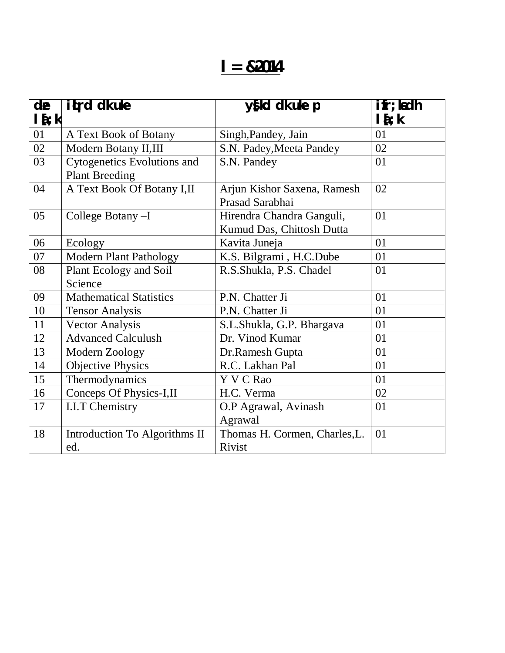### **l= &2014**

| de          | itrd dk uke                                                 | y{kd dk uke p                                          | ifr; ladh     |
|-------------|-------------------------------------------------------------|--------------------------------------------------------|---------------|
| $l$ { $; k$ |                                                             |                                                        | $l$ { $;$ $k$ |
| 01          | A Text Book of Botany                                       | Singh, Pandey, Jain                                    | 01            |
| 02          | Modern Botany II, III                                       | S.N. Padey, Meeta Pandey                               | 02            |
| 03          | <b>Cytogenetics Evolutions and</b><br><b>Plant Breeding</b> | S.N. Pandey                                            | 01            |
| 04          | A Text Book Of Botany I, II                                 | Arjun Kishor Saxena, Ramesh<br>Prasad Sarabhai         | 02            |
| 05          | College Botany-I                                            | Hirendra Chandra Ganguli,<br>Kumud Das, Chittosh Dutta | 01            |
| 06          | Ecology                                                     | Kavita Juneja                                          | 01            |
| 07          | <b>Modern Plant Pathology</b>                               | K.S. Bilgrami, H.C.Dube                                | 01            |
| 08          | Plant Ecology and Soil                                      | R.S.Shukla, P.S. Chadel                                | 01            |
|             | Science                                                     |                                                        |               |
| 09          | <b>Mathematical Statistics</b>                              | P.N. Chatter Ji                                        | 01            |
| 10          | <b>Tensor Analysis</b>                                      | P.N. Chatter Ji                                        | 01            |
| 11          | <b>Vector Analysis</b>                                      | S.L.Shukla, G.P. Bhargava                              | 01            |
| 12          | <b>Advanced Calculush</b>                                   | Dr. Vinod Kumar                                        | 01            |
| 13          | Modern Zoology                                              | Dr.Ramesh Gupta                                        | 01            |
| 14          | <b>Objective Physics</b>                                    | R.C. Lakhan Pal                                        | 01            |
| 15          | Thermodynamics                                              | Y V C Rao                                              | 01            |
| 16          | Conceps Of Physics-I,II                                     | H.C. Verma                                             | 02            |
| 17          | <b>I.I.T Chemistry</b>                                      | O.P Agrawal, Avinash                                   | 01            |
|             |                                                             | Agrawal                                                |               |
| 18          | Introduction To Algorithms II<br>ed.                        | Thomas H. Cormen, Charles, L.<br>Rivist                | 01            |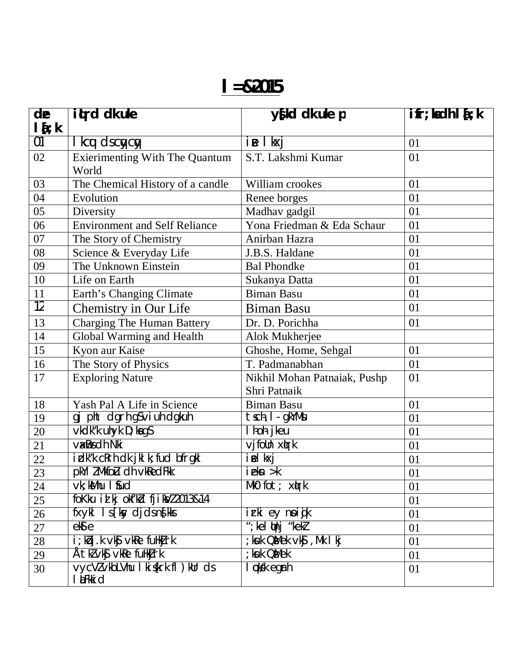| de              | itted dk uke                                                                       | y{kd dk uke p                  | $\overline{\textbf{ifr}}$ ; ladh I $\overline{\textbf{f}}$ ; k |
|-----------------|------------------------------------------------------------------------------------|--------------------------------|----------------------------------------------------------------|
| $l\{t:k}$<br>01 | I kcu dscycy                                                                       | ie I kxj                       | 01                                                             |
| 02              | <b>Exierimenting With The Quantum</b>                                              | S.T. Lakshmi Kumar             | 01                                                             |
|                 | World                                                                              |                                |                                                                |
| 03              | The Chemical History of a candle                                                   | William crookes                | 01                                                             |
| 04              | Evolution                                                                          | Renee borges                   | 01                                                             |
| 05              | Diversity                                                                          | Madhav gadgil                  | 01                                                             |
| 06              | <b>Environment and Self Reliance</b>                                               | Yona Friedman & Eda Schaur     | 01                                                             |
| 07              | The Story of Chemistry                                                             | Anirban Hazra                  | 01                                                             |
| 08              | Science & Everyday Life                                                            | J.B.S. Haldane                 | 01                                                             |
| 09              | The Unknown Einstein                                                               | <b>Bal Phondke</b>             | 01                                                             |
| 10              | Life on Earth                                                                      | Sukanya Datta                  | 01                                                             |
| 11              | Earth's Changing Climate                                                           | <b>Biman Basu</b>              | 01                                                             |
| $\overline{12}$ | Chemistry in Our Life                                                              | <b>Biman Basu</b>              | 01                                                             |
| 13              | <b>Charging The Human Battery</b>                                                  | Dr. D. Porichha                | 01                                                             |
| 14              | Global Warming and Health                                                          | Alok Mukherjee                 |                                                                |
| 15              | Kyon aur Kaise                                                                     | Ghoshe, Home, Sehgal           | 01                                                             |
| 16              | The Story of Physics                                                               | T. Padmanabhan                 | 01                                                             |
| 17              | <b>Exploring Nature</b>                                                            | Nikhil Mohan Patnaiak, Pushp   | 01                                                             |
|                 |                                                                                    | Shri Patnaik                   |                                                                |
| 18              | Yash Pal A Life in Science                                                         | <b>Biman Basu</b>              | 01                                                             |
| 19              | gj pht dgrh g\$∨iuh dgkuh                                                          | tsch, I - gkYMsu               | 01                                                             |
| 20              | vkdk"k uhyk D; kags                                                                | I hoh jkeu                     | 01                                                             |
| 21              | <b>V&amp;Bs ch Nki</b>                                                             | vjfoUn x(rk                    | 01                                                             |
| 22              | idk"k cRrh dk jkl k; fud bfrgkl                                                    | iel kxj                        | 01                                                             |
| 23              | pkYI ZMkfoLu dh vkRedFkk                                                           | $i$ ekn $>$ k                  | 01                                                             |
| 24              | $vk;$ kMhu I fud                                                                   | MkO $fot$ ; $x$ <b>q</b> rk    | 01                                                             |
| 25              | fokku il kj okf'kd fjiky/2013&14                                                   |                                | 01                                                             |
| 26              | fxykl Is [ksy djds ns[kks                                                          | irki ey noijk                  | 01                                                             |
| 27              | ek 9e                                                                              | "; kel $\n  l$ nj "kek $\n  l$ | 01                                                             |
| 28              | i; kbj.k vk $\mathbf{\hat{S}}$ vk $\mathbf{\hat{R}}$ e fullk $\mathbf{\hat{J}}$ rk | ; ksuk Q&Mek vk\$, Mk I kj     | 01                                                             |
| 29              | Ătkl∨k\$vkRe fuHkjrk                                                               | ; kuk OMek                     | 01                                                             |
| 30              | vycVI vkbLVhu I ki {krk fl ) kUr ds<br><b>I LEkki d</b>                            | l ¢k⁄k egrh                    | 01                                                             |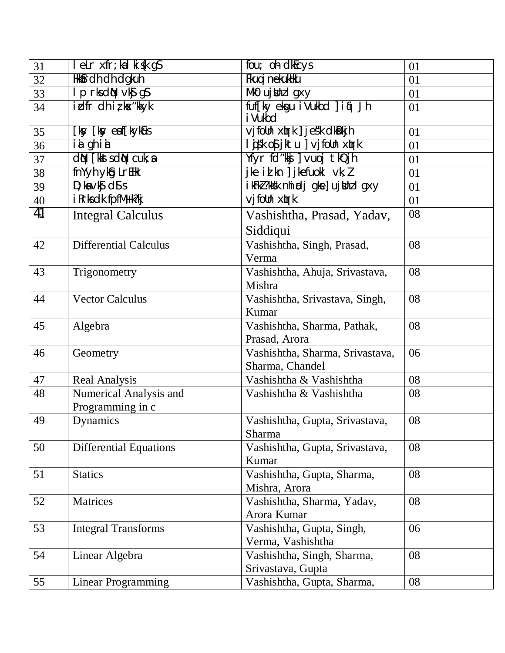| 31 | leLr xfr; kalki {k g \$                  | $fow;$ of $dkcys$                 | 01 |
|----|------------------------------------------|-----------------------------------|----|
| 32 | <b>Hkkfrdh dh dgkuh</b>                  | Fkug i nekukHku                   | 01 |
| 33 | I p rks d<br>l p rks d<br>N vk $\int$ gS | Mk0 ujthz I gxy                   | 01 |
| 34 | $i$ dh i z kx"kkyk                       | fuf[ky ekgu iVukbd ] i qi Jh      | 01 |
|    |                                          | i Vukbd                           |    |
| 35 | [ksy [ksy eaf[kyk&us                     | vjfolln xlrk ] jesk dkBkjh        | 01 |
| 36 | Tá ghia                                  | lisk os jktu ] vjfoUn xirk        | 01 |
| 37 | <b>CIN</b> [kksts CIN cuk; a             | Yfyr fd"kkj   vuoj tkQjh          | 01 |
| 38 | fnYyh ykg LrEHk                          | jke id kn $\int$ jkefuokl vk; $l$ | 01 |
| 39 | $D$ ; ka $\vee$ k $S$ ds s               | ikFkl?kksk nhiadjgke]ujUnzlgxy    | 01 |
| 40 | i Rrks dk fpfM+k?kj                      | vjfolln xtrk                      | 01 |
| 41 | <b>Integral Calculus</b>                 | Vashishtha, Prasad, Yadav,        | 08 |
|    |                                          | Siddiqui                          |    |
| 42 | <b>Differential Calculus</b>             | Vashishtha, Singh, Prasad,        | 08 |
|    |                                          | Verma                             |    |
| 43 | Trigonometry                             | Vashishtha, Ahuja, Srivastava,    | 08 |
|    |                                          | Mishra                            |    |
| 44 | <b>Vector Calculus</b>                   | Vashishtha, Srivastava, Singh,    | 08 |
|    |                                          | Kumar                             |    |
| 45 | Algebra                                  | Vashishtha, Sharma, Pathak,       | 08 |
|    |                                          | Prasad, Arora                     |    |
| 46 | Geometry                                 | Vashishtha, Sharma, Srivastava,   | 06 |
|    |                                          | Sharma, Chandel                   |    |
| 47 | Real Analysis                            | Vashishtha & Vashishtha           | 08 |
| 48 | Numerical Analysis and                   | Vashishtha & Vashishtha           | 08 |
|    | Programming in c                         |                                   |    |
| 49 | Dynamics                                 | Vashishtha, Gupta, Srivastava,    | 08 |
|    |                                          | Sharma                            |    |
| 50 | <b>Differential Equations</b>            | Vashishtha, Gupta, Srivastava,    | 08 |
|    |                                          | Kumar                             |    |
| 51 | <b>Statics</b>                           | Vashishtha, Gupta, Sharma,        | 08 |
|    |                                          | Mishra, Arora                     |    |
| 52 | Matrices                                 | Vashishtha, Sharma, Yadav,        | 08 |
|    |                                          | Arora Kumar                       |    |
| 53 | <b>Integral Transforms</b>               | Vashishtha, Gupta, Singh,         | 06 |
|    |                                          | Verma, Vashishtha                 |    |
| 54 | Linear Algebra                           | Vashishtha, Singh, Sharma,        | 08 |
|    |                                          | Srivastava, Gupta                 |    |
| 55 | Linear Programming                       | Vashishtha, Gupta, Sharma,        | 08 |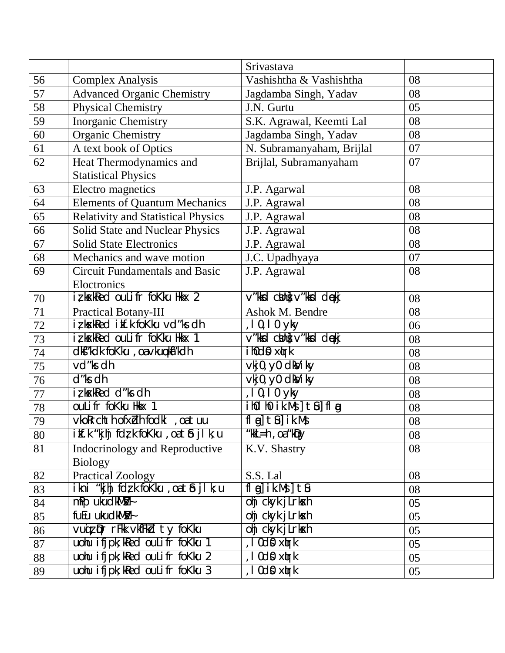|    |                                           | Srivastava                                                                     |    |
|----|-------------------------------------------|--------------------------------------------------------------------------------|----|
| 56 | <b>Complex Analysis</b>                   | Vashishtha & Vashishtha                                                        | 08 |
| 57 | <b>Advanced Organic Chemistry</b>         | Jagdamba Singh, Yadav                                                          | 08 |
| 58 | <b>Physical Chemistry</b>                 | J.N. Gurtu                                                                     | 05 |
| 59 | Inorganic Chemistry                       | S.K. Agrawal, Keemti Lal                                                       | 08 |
| 60 | <b>Organic Chemistry</b>                  | Jagdamba Singh, Yadav                                                          | 08 |
| 61 | A text book of Optics                     | N. Subramanyaham, Brijlal                                                      | 07 |
| 62 | Heat Thermodynamics and                   | Brijlal, Subramanyaham                                                         | 07 |
|    | <b>Statistical Physics</b>                |                                                                                |    |
| 63 | Electro magnetics                         | J.P. Agarwal                                                                   | 08 |
| 64 | <b>Elements of Quantum Mechanics</b>      | J.P. Agrawal                                                                   | 08 |
| 65 | <b>Relativity and Statistical Physics</b> | J.P. Agrawal                                                                   | 08 |
| 66 | Solid State and Nuclear Physics           | J.P. Agrawal                                                                   | 08 |
| 67 | <b>Solid State Electronics</b>            | J.P. Agrawal                                                                   | 08 |
| 68 | Mechanics and wave motion                 | J.C. Upadhyaya                                                                 | 07 |
| 69 | <b>Circuit Fundamentals and Basic</b>     | J.P. Agrawal                                                                   | 08 |
|    | Eloctronics                               |                                                                                |    |
| 70 | iz kxkRed ouLifr foKku Hkkx 2             | v"kkd clint v"kkd dekj                                                         | 08 |
| 71 | <b>Practical Botany-III</b>               | Ashok M. Bendre                                                                | 08 |
| 72 | iz kxkRed itf.k foKku vd"ks dh            | $, 10, 10$ yky                                                                 | 06 |
| 73 | iz kxkRed ouLifr foKku Hkkx 1             | v"kkd clint v"kkd dekj                                                         | 08 |
| 74 | dkf"kdk foKku, oa vkupkfi"kdh             | ihOd0 x(rk                                                                     | 08 |
| 75 | vd"ks dh                                  | vkj0, y0 dkViky                                                                | 08 |
| 76 | d"ks dh                                   | vkj0, y0 dkViky                                                                | 08 |
| 77 | iz kxkRed d"ks dh                         | $, 10, 10$ yky                                                                 | 08 |
| 78 | ouLifr foKku Hkx 1                        |                                                                                | 08 |
| 79 | vkoRrchth ofxZh fodkl , oa tuu            | $\lceil \ln \ln   \cdot \ln   \cdot \ln   \cdot \ln   \cdot \ln   \cdot \ln  $ | 08 |
| 80 | ilf.k"kjhj fdr,k foKku ,oa tib jl k; u    | "kk $L = h$ , oa "k $\nabla$                                                   | 08 |
| 81 | <b>Indocrinology and Reproductive</b>     | K.V. Shastry                                                                   | 08 |
|    | <b>Biology</b>                            |                                                                                |    |
| 82 | <b>Practical Zoology</b>                  | S.S. Lal                                                                       | 08 |
| 83 | ikni "kjhj fdzk foKku, oatbjlk; u         | $fl$ $gl$ $ik.Ms$ $l$ $th$                                                     | 08 |
| 84 | mPp ukudkMMV+                             | ohj ckyk jLrkxh                                                                | 05 |
| 85 | fuEu ukudkMW <sub>ł</sub>                 | ohj ckyk jLrkxh                                                                | 05 |
| 86 | Vuiz Dr rFkk VkfFkd ty fokku              | ohj ckyk jLrkxh                                                                | 05 |
| 87 | uohu ifjpk; kRed ouLifr foKku 1           | , I Od <b>O</b> xtrk                                                           | 05 |
| 88 | uohu ifjpk; kRed ouLifr foKku 2           | , I Od <b>O</b> xtrk                                                           | 05 |
| 89 | uohu ifjpk; kRed ouLifr foKku 3           | , I Odo xtrk                                                                   | 05 |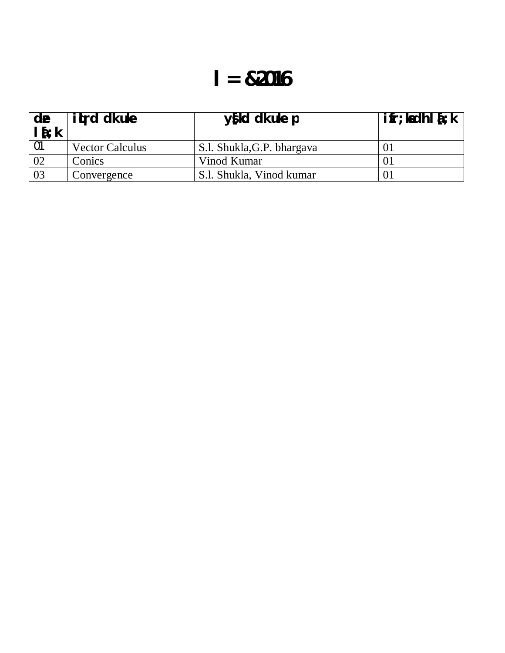| de<br>$I_{i}$ | <b>ited dkuke</b>      | $y$ [kd dk uke p           | $\mathbf{ifr}$ ; ladh $\mathbf{I}$ $\mathbf{\hat{i}}$ ; k |
|---------------|------------------------|----------------------------|-----------------------------------------------------------|
| -01           | <b>Vector Calculus</b> | S.l. Shukla, G.P. bhargava |                                                           |
| 02            | Conics                 | Vinod Kumar                |                                                           |
| 03            | Convergence            | S.l. Shukla, Vinod kumar   |                                                           |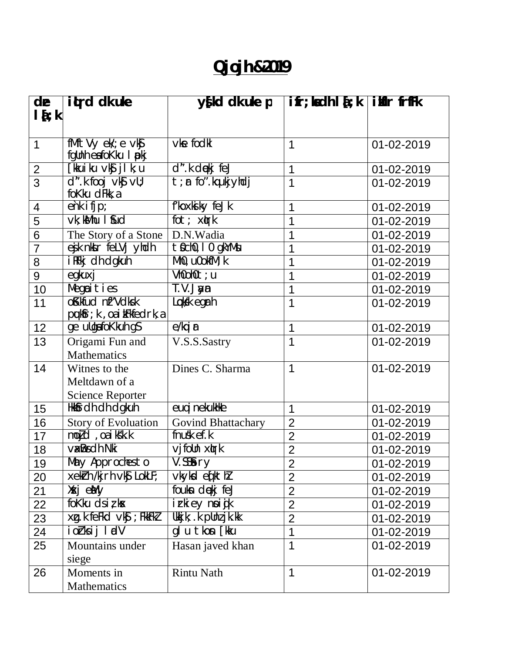### **Qjojh &2019**

| de             | itrd dk ule                                                     | $y$ [kd dk uke p          | $\textbf{ifr}$ ; kadh $\textbf{I}$ $\textbf{\{t}}$ ; k if $\textbf{iflr}$ frffk |            |
|----------------|-----------------------------------------------------------------|---------------------------|---------------------------------------------------------------------------------|------------|
| $l\{i\}$       |                                                                 |                           |                                                                                 |            |
|                |                                                                 |                           |                                                                                 |            |
| $\mathbf 1$    | fMftVy ek/; e vkg                                               | vke fodkl                 | 1                                                                               | 01-02-2019 |
|                | fgUnh eafoKku I pokj                                            |                           |                                                                                 |            |
| $\overline{2}$ | [kkuiku ∨k <b>ĵjl</b> k;u                                       | d".k dekj feJ             | 1                                                                               | 01-02-2019 |
| $\overline{3}$ | $d''$ . k fooj vk $y$ vll;<br>foKku dFkk, a                     | $t$ ; $r$ fo".kqukjyhdj   | 1                                                                               | 01-02-2019 |
| 4              | $\overline{ehk}$ ifjp;                                          | f'koxki ky feJk           | 1                                                                               | 01-02-2019 |
| 5              | $\overline{vk}$ ; $kMhu$ I fud                                  | fot; xirk                 | 1                                                                               | 01-02-2019 |
| 6              | The Story of a Stone                                            | D.N.Wadia                 | 1                                                                               | 01-02-2019 |
| $\overline{7}$ | ejk nktr felVj yhdh                                             | t Ocho, I o gkYMu         | 1                                                                               | 01-02-2019 |
| 8              | i RFkj dh dgkuh                                                 | $Mh0$ , u0okf $M; k$      | 1                                                                               | 01-02-2019 |
| 9              | egkuxj                                                          | Vh0oh0t; u                | 1                                                                               | 01-02-2019 |
| 10             | Megcities                                                       | T.V.Jaym                  | 1                                                                               | 01-02-2019 |
| 11             | oKkfud nf"Vdksk<br>$p$ <b>q</b> k $f$ r; k, oa i $k$ Fkfedrk, a | Locksk egrh               | 1                                                                               | 01-02-2019 |
| 12             | ge ullgafoKkuh g\$                                              | e/kqi <b>r</b>            | 1                                                                               | 01-02-2019 |
| 13             | Origami Fun and                                                 | V.S.S.Sastry              | 1                                                                               | 01-02-2019 |
|                | <b>Mathematics</b>                                              |                           |                                                                                 |            |
| 14             | Witnes to the                                                   | Dines C. Sharma           | $\mathbf 1$                                                                     | 01-02-2019 |
|                | Meltdawn of a                                                   |                           |                                                                                 |            |
|                | <b>Science Reporter</b>                                         |                           |                                                                                 |            |
| 15             | Hkkfrdh dh dgkuh                                                | euq i nekukHke            | 1                                                                               | 01-02-2019 |
| 16             | <b>Story of Evoluation</b>                                      | <b>Govind Bhattachary</b> | $\overline{2}$                                                                  | 01-02-2019 |
| 17             | mojd, oa iksk.k                                                 | $f$ nusk $ef.$ k          | $\overline{2}$                                                                  | 01-02-2019 |
| 18             | <b>V&amp;Bs ch Nki</b>                                          | $v$ jfolln $x$ tr $k$     | $\overline{2}$                                                                  | 01-02-2019 |
| 19             | May Approches to                                                | V.SS&ry                   | $\overline{2}$                                                                  | 01-02-2019 |
| 20             | xekirh /kjrh vkj LokLF;                                         | vkykd e(kthl              | $\overline{2}$                                                                  | 01-02-2019 |
| 21             | ХжјеМу                                                          | foukn dekj feJ            | $\overline{2}$                                                                  | 01-02-2019 |
| 22             | fokku dsizkx                                                    | irkiey noijk              | $\overline{2}$                                                                  | 01-02-2019 |
| 23             | $xq.k$ feekd $vks$ ; FikkFkZ                                    | Ukkjk; .k pUnzjk.kk       | $\overline{2}$                                                                  | 01-02-2019 |
| 24             | iorksij ludV                                                    | glutkon [kku              | $\mathbf 1$                                                                     | 01-02-2019 |
| 25             | Mountains under                                                 | Hasan javed khan          | 1                                                                               | 01-02-2019 |
| 26             | siege<br>Moments in                                             | <b>Rintu Nath</b>         | 1                                                                               | 01-02-2019 |
|                |                                                                 |                           |                                                                                 |            |
|                | Mathematics                                                     |                           |                                                                                 |            |